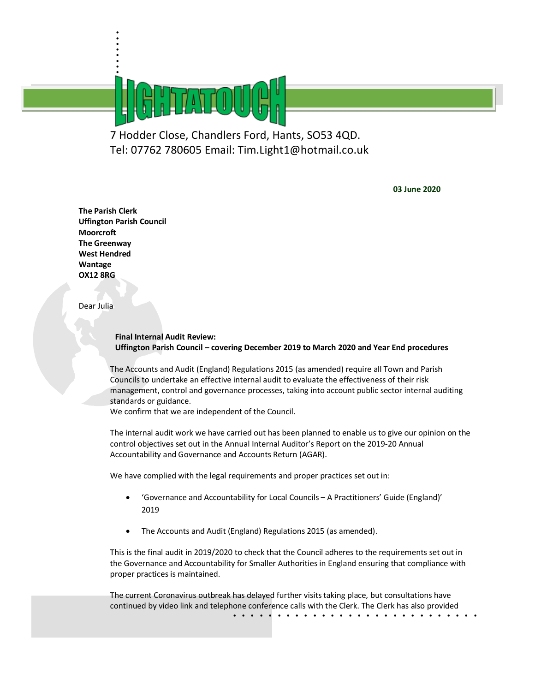7 Hodder Close, Chandlers Ford, Hants, SO53 4QD. Tel: 07762 780605 Email: Tim.Light1@hotmail.co.uk

**03 June 2020** 

**The Parish Clerk Uffington Parish Council Moorcroft The Greenway West Hendred Wantage OX12 8RG**

. . . . . . . .<br>.<br>. .<br>ش

Dear Julia

**Final Internal Audit Review: Uffington Parish Council – covering December 2019 to March 2020 and Year End procedures**

The Accounts and Audit (England) Regulations 2015 (as amended) require all Town and Parish Councils to undertake an effective internal audit to evaluate the effectiveness of their risk management, control and governance processes, taking into account public sector internal auditing standards or guidance.

We confirm that we are independent of the Council.

The internal audit work we have carried out has been planned to enable us to give our opinion on the control objectives set out in the Annual Internal Auditor's Report on the 2019-20 Annual Accountability and Governance and Accounts Return (AGAR).

We have complied with the legal requirements and proper practices set out in:

- 'Governance and Accountability for Local Councils A Practitioners' Guide (England)' 2019
- The Accounts and Audit (England) Regulations 2015 (as amended).

This is the final audit in 2019/2020 to check that the Council adheres to the requirements set out in the Governance and Accountability for Smaller Authorities in England ensuring that compliance with proper practices is maintained.

continued by video link and telephone conference calls with the Clerk. The Clerk has also provided<br> $\dots \dots \dots \dots$ The current Coronavirus outbreak has delayed further visits taking place, but consultations have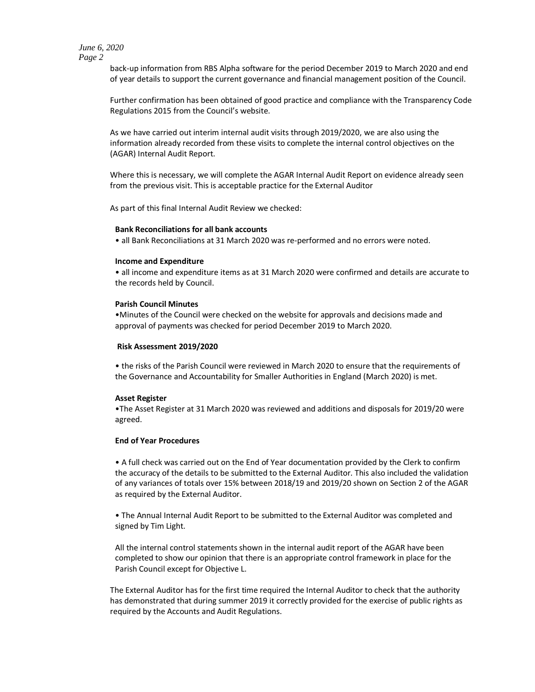# *June 6, 2020 Page 2*

back-up information from RBS Alpha software for the period December 2019 to March 2020 and end of year details to support the current governance and financial management position of the Council.

Further confirmation has been obtained of good practice and compliance with the Transparency Code Regulations 2015 from the Council's website.

As we have carried out interim internal audit visits through 2019/2020, we are also using the information already recorded from these visits to complete the internal control objectives on the (AGAR) Internal Audit Report.

Where this is necessary, we will complete the AGAR Internal Audit Report on evidence already seen from the previous visit. This is acceptable practice for the External Auditor

As part of this final Internal Audit Review we checked:

# **Bank Reconciliations for all bank accounts**

• all Bank Reconciliations at 31 March 2020 was re-performed and no errors were noted.

#### **Income and Expenditure**

• all income and expenditure items as at 31 March 2020 were confirmed and details are accurate to the records held by Council.

## **Parish Council Minutes**

•Minutes of the Council were checked on the website for approvals and decisions made and approval of payments was checked for period December 2019 to March 2020.

#### **Risk Assessment 2019/2020**

• the risks of the Parish Council were reviewed in March 2020 to ensure that the requirements of the Governance and Accountability for Smaller Authorities in England (March 2020) is met.

## **Asset Register**

•The Asset Register at 31 March 2020 was reviewed and additions and disposals for 2019/20 were agreed.

## **End of Year Procedures**

• A full check was carried out on the End of Year documentation provided by the Clerk to confirm the accuracy of the details to be submitted to the External Auditor. This also included the validation of any variances of totals over 15% between 2018/19 and 2019/20 shown on Section 2 of the AGAR as required by the External Auditor.

• The Annual Internal Audit Report to be submitted to the External Auditor was completed and signed by Tim Light.

All the internal control statements shown in the internal audit report of the AGAR have been completed to show our opinion that there is an appropriate control framework in place for the Parish Council except for Objective L.

The External Auditor has for the first time required the Internal Auditor to check that the authority has demonstrated that during summer 2019 it correctly provided for the exercise of public rights as required by the Accounts and Audit Regulations.